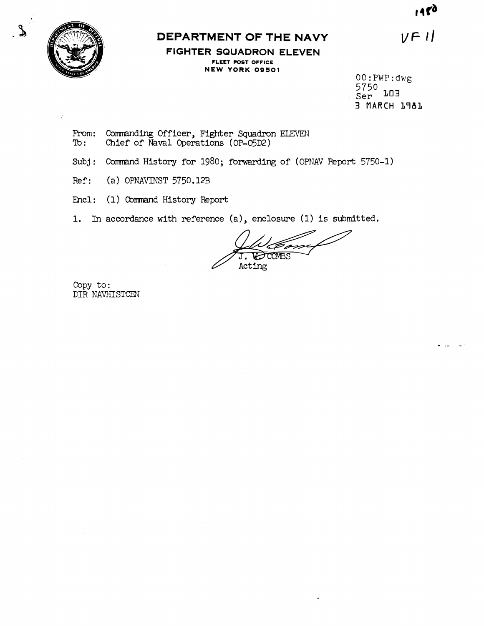1480

 $V$  $F$  $l$ 



## **DEPARTMENT OF THE NAVY**

**FIGHTER SQUADRON ELEVEN FLEET POST OFFICE NEW YORK 09501** 

00: PWP: dwg<br>5750<br> $\frac{1}{2}$  $\widetilde{\text{Ser}}^{\prime}$  103 **3 MARCH 1781** 

From: Commanding Officer, Fighter Squadron ELEVEN<br>To: Chief of Naval Operations (OP-O5D2) Chief of Naval Operations (OP-05D2)

- Subj: Command History for 1980; forwarding of (OPNAV Report 5750-1)
- Ref: (a) OPNAVINST 5750.12B
- Encl: (1) **Cornnand** History Report
- **1.** In accordance with reference (a), enclosure (1) is submitted.

TOOMBS Acting

Copy **to:**  DIR NAVHISTCEN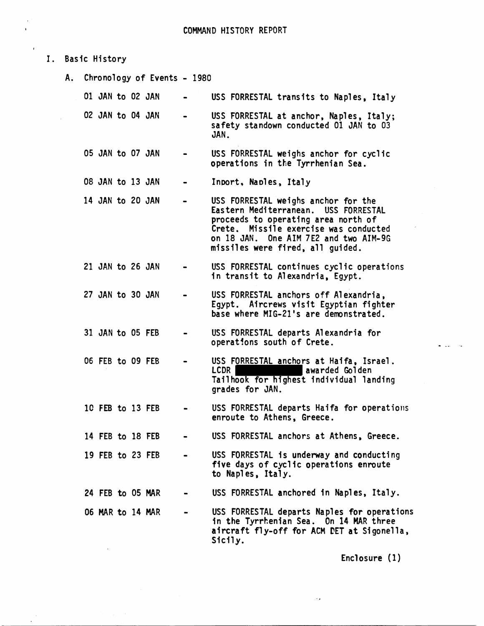I. Basic History

,

A. Chronology of Events - 1980

| Ol JAN to O2 JAN |  | $\sim$ 100 $\mu$                        | USS FORRESTAL transits to Naples, Italy                                                   |
|------------------|--|-----------------------------------------|-------------------------------------------------------------------------------------------|
| 02 JAN to 04 JAN |  | $\bullet$ .<br><br><br><br><br><br><br> | USS FORRESTAL at anchor, Naples, Italy;<br>safety standown conducted 01 JAN to 03<br>JAN. |

- 05 JAN to 07 JAN USS FORRESTAL weighs anchor for cyclic operations in the Tyrrhenian Sea.
- 08 JAN to 13 JAN Inport, Naples, Italy
- 14 JAN to 20 JAN USS FORRESTAL weighs anchor for the Eastern Mediterranean. USS FORRESTAL proceeds to operating area north of Crete. Missile exercise was conducted on 18 JAN. One AIM 7E2 and two AIM-9G missiles were fired, all guided.
- 21 JAN to 26 JAN USS FORRESTAL continues cyclic operations in transit to Alexandria, Egypt.
- 27 JAN to 30 JAN USS FORRESTAL anchors off Alexandria, Egypt. Aircrews visit Egyptian fighter base where MIG-21's are demonstrated.
- 31 JAN to 05 FEB **o** USS FORRESTAL departs Alexandria for operat!ons south of Crete.
- 06 FEB to 09 FEB USS FORRESTAL anchors at Haifa, Israel.<br>LCDR awarded Golden Tail hook for highest individual landing grades for JAN.
- 1C FEB to 13 FEB USS FORRESTAL departs Haifa for operations enroute to Athens, Greece.
- 14 FEB to 18 FEB USS FORRESTAL anchors at Athens, Greece.
- 19 FEB to 23 FEB USS FOHRESTAL is underway and conducting five days of cyclic operations enroute to Naples, Italy.
- 24 FEB to 05 MAR USS FORRESTAL anchored in Naples, Italy.
- 06 MAR to 14 MAR USS FORRESTAL departs Naples for operations in the Tyrrhenian Sea. On 14 MAR three aircraft fly-off for ACM PET at Sigonella, Sicily.

Enclosure (1 )

 $\mathcal{L}_\mathbf{Z}$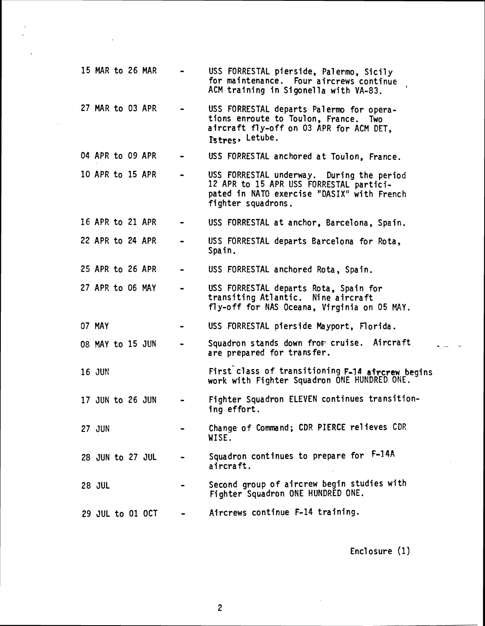| 15 MAR to 26 MAR |  |  | USS FORRESTAL pierside, Palermo, Sicily<br>for maintenance. Four aircrews continue<br>ACM training in Sigonella with VA-83.                              |
|------------------|--|--|----------------------------------------------------------------------------------------------------------------------------------------------------------|
| 27 MAR to 03 APR |  |  | USS FORRESTAL departs Palermo for opera-<br>tions enroute to Toulon, France. Two<br>aircraft fly-off on 03 APR for ACM DET,<br>Istres, Letube.           |
| 04 APR to 09 APR |  |  | USS FORRESTAL anchored at Toulon, France.                                                                                                                |
| 10 APR to 15 APR |  |  | USS FORRESTAL underway. During the period<br>12 APR to 15 APR USS FORRESTAL partici-<br>pated in NATO exercise "DASIX" with French<br>fighter squadrons. |
| 16 APR to 21 APR |  |  | USS FORRESTAL at anchor, Barcelona, Spain.                                                                                                               |
| 22 APR to 24 APR |  |  | USS FORRESTAL departs Barcelona for Rota,<br>Spain.                                                                                                      |
| 25 APR to 26 APR |  |  | USS FORRESTAL anchored Rota, Spain.                                                                                                                      |
| 27 APR to 06 MAY |  |  | USS FORRESTAL departs Rota, Spain for<br>transiting Atlantic. Nine aircraft<br>fly-off for NAS Oceana, Virginia on 05 MAY.                               |
| 07 MAY           |  |  | USS FORRESTAL pierside Mayport, Florida.                                                                                                                 |
| 08 MAY to 15 JUN |  |  | Squadron stands down from cruise. Aircraft<br>are prepared for transfer.                                                                                 |
| <b>16 JUN</b>    |  |  | First class of transitioning F-14 afrcrew begins<br>work with Fighter Squadron ONE HUNDRED ONE.                                                          |
| 17 JUN to 26 JUN |  |  | Fighter Squadron ELEVEN continues transition-<br>ing effort.                                                                                             |
| <b>27 JUN</b>    |  |  | Change of Command; CDR PIERCE relieves CDR<br>WISE.                                                                                                      |
| 28 JUN to 27 JUL |  |  | Squadron continues to prepare for F-14A<br>aircraft.                                                                                                     |
| <b>28 JUL</b>    |  |  | Second group of aircrew begin studies with<br>Fighter Squadron ONE HUNDRED ONE.                                                                          |
| 29 JUL to 01 OCT |  |  | Aircrews continue F-14 training.                                                                                                                         |

 $\ddot{\phantom{a}}$ 

Encl osure (1)

 $\cdot$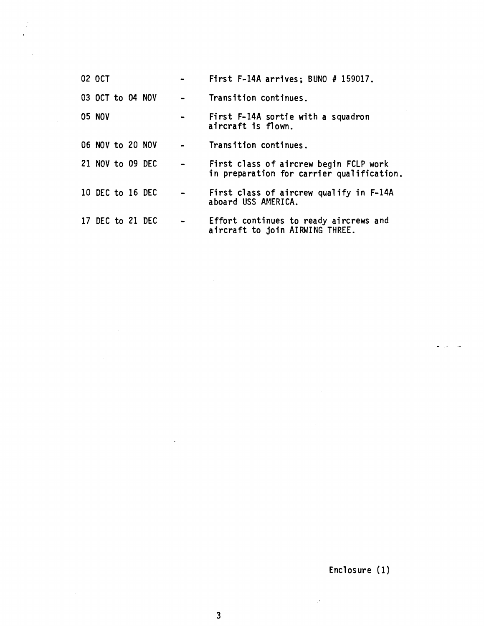| 02 OCT           |  |                | First F-14A arrives; BUNO # 159017.                                                 |
|------------------|--|----------------|-------------------------------------------------------------------------------------|
| 03 OCT to 04 NOV |  |                | Transition continues.                                                               |
| <b>05 NOV</b>    |  | $\blacksquare$ | First F-14A sortie with a squadron<br>aircraft is flown.                            |
| 06 NOV to 20 NOV |  |                | Transition continues.                                                               |
| 21 NOV to 09 DEC |  |                | First class of aircrew begin FCLP work<br>in preparation for carrier qualification. |
| 10 DEC to 16 DEC |  |                | First class of aircrew qualify in F-14A<br>aboard USS AMERICA.                      |
| 17 DEC to 21 DEC |  |                | Effort continues to ready aircrews and<br>aircraft to join AIRWING THREE.           |

 $\mathbb{Z}$ 

 $\mathcal{A} \subset \mathcal{A}$ 

 $\sim 10^7$ 

Enclosure (1)

 $\hat{\mathcal{L}}$ 

 $\bullet$  . Then

 $\label{eq:2.1} \frac{1}{\sqrt{2}}\int_{\mathbb{R}^3}\frac{1}{\sqrt{2}}\left(\frac{1}{\sqrt{2}}\right)^2\frac{1}{\sqrt{2}}\left(\frac{1}{\sqrt{2}}\right)^2\frac{1}{\sqrt{2}}\left(\frac{1}{\sqrt{2}}\right)^2.$ 

 $\sim 10^7$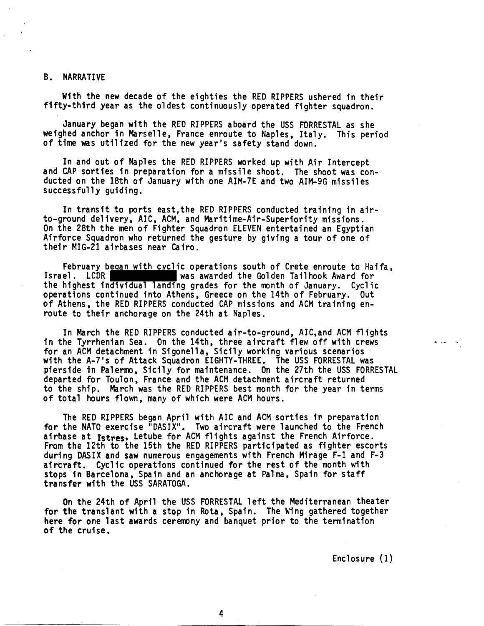## B. NARRATIVE

With the new decade of the eighties the RED RIPPERS ushered in their fifty-third year as the oldest continuously operated fighter squadron.

January began with the RED RIPPERS aboard the USS FORRESTAL as she weighed anchor in Marselle, France enroute to Naples, Italy. This period of time was utilized for the new year's safety stand down.

In and out of Naples the RED RIPPERS worked up with Air Intercept and CAP sorties in preparation for a missile shoot. The shoot was conducted on the 18th of January with one AIM-7E and two AIM-9G missiles successfully guiding.

In transit to ports east,the RED RIPPERS conducted training in airto-ground del ivery, AIC, ACM, and Maritime-Air-Superiority missions. On the 28th the men of Fighter Squadron ELEVEN entertained an Egyptian Airforce Squadron who returned the gesture by giving a tour of one of their MIG-21 airbases near Cairo.

February began with cyclic operations south of Crete enroute to Haifa,<br>Israel. LCDR was awarded the Golden Tailhook Award for the highest individual landing grades for the month of January. Cyclic operations continued into Athens, Greece on the 14th of February. Out of Athens, the RED RIPPERS conducted CAP missions and ACM training enroute to their anchorage on the 24th at Naples.

In March the RED RIPPERS conducted air-to-ground, AIC,and ACM flights in the Tyrrhenian Sea. On the 14th, three aircraft flew off with crews for an ACM detachment in Sigonella, Sicily working various scenarios with the A-7's of Attack Squadron EIGHTY-THREE. The USS FORRESTAL was pierside in Palermo, Sicily for maintenance. On the 27th the USS FORRESTAL departed for Toulon, France and the ACM detachment aircraft returned to the ship. March was the RED RIPPERS best month for the year in terms of total hours flown, many of which were ACM hours.

The RED RIPPERS began April with AIC and ACM sorties in preparation for the NATO exercise "DASIX". Two aircraft were launched to the French airhase at **rstres,** Letube for ACM flights against the French Airforce. From the 12th to the 15th the RED RIPPERS participated as fighter escorts during DASIX and saw numerous engagements with French Mirage F-1 and F-3 aircraft. Cyclic operations continued for the rest of the month with stops in Barcelona, Spain and an anchorage at Palma, Spain for staff transfer with the USS SARATOGA.

On the 24th of April the USS FORRESTAL left the Mediterranean theater for the translant with a stop in Rota, Spain. The Wing gathered together here for one last awards ceremony and banquet prior to the termination of the cruise.

Enclosure (1)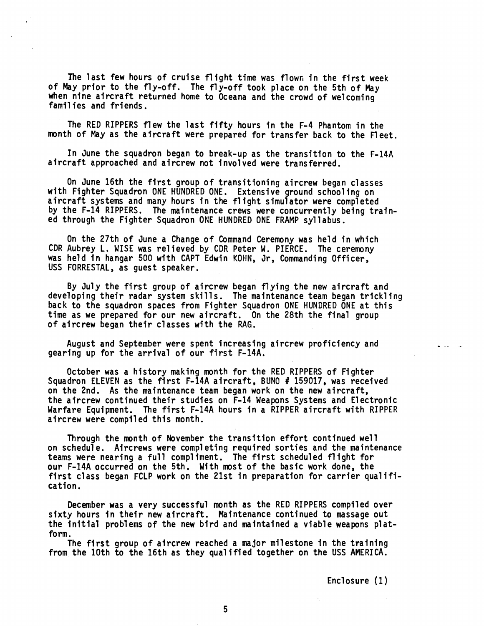The last few hours of cruise flight time was flown in the first week of May prior to the fly-off. The fly-off took place on the 5th of May when nine aircraft returned home to Oceana and the crowd of welcoming families and friends.

The RED RIPPERS flew the last fifty hours in the F-4 Phantom in the month of May as the aircraft were prepared for transfer back to the fleet.

In June the squadron began to break-up as the transition to the F-14A aircraft approached and aircrew not i nvol ved were transferred.

On June 16th the first group of transitioning aircrew began classes with Fighter Squadron ONE HUNDRED ONE. Extensive ground schooling on aircraft systems and many hours in the flight simulator were completed by the F-14 RIPPERS. The maintenance crews were concurrently being trained through the Fighter Squadron ONE HUNDRED ONE FRAMP syllabus.

On the 27th of June a Change of Command Ceremony was held in which CDR Aubrey L. WISE was relieved by CDR Peter W. PIERCE. The ceremony was held in hangar 500 with CAPT Edwin KOHN, Jr, Commanding Officer, USS FORRESTAL, as guest speaker.

By July the first group of aircrew began flying the new aircraft and developing their radar system skills. The maintenance team began trickling back to the squadron spaces from Fighter Squadron ONE HUNDRED ONE at this time as we prepared for our new aircraft. On the 28th the final group of aircrew began their classes with the RAG.

August and September were spent increasing aircrew proficiency and gearing up for the arrival of our first F-14A.

October was a history making month for the RED RIPPERS of Fighter Squadron ELEVEN as the first F-14A aircraft, BUN0 # 159017, was received on the 2nd. As the maintenance team began work on the new aircraft, the aircrew continued their studies on F-14 Weapons Systems and Electronic Warfare Equipment. The first F-14A hours in a RIPPER aircraft with RIPPER aircrew were compiled this month.

Through the month of November the transition effort continued well on schedule. Aircrews were completing required sorties and the maintenance teams were nearing a full compliment. The first scheduled flight for our F-14A occurred on the 5th. With most of the basic work done, the first class began FCLP work on the 21st in preparation for carrier qualification.

December was a very successful month as the RED RIPPERS compiled over sixty hours in their new aircraft. Maintenance continued to massage out the initial problems of the new bird and maintained a viable weapons platform.

The first group of aircrew reached a major milestone in the training from the 10th to the 16th as they qualified together on the USS AMERICA.

Enclosure (1 )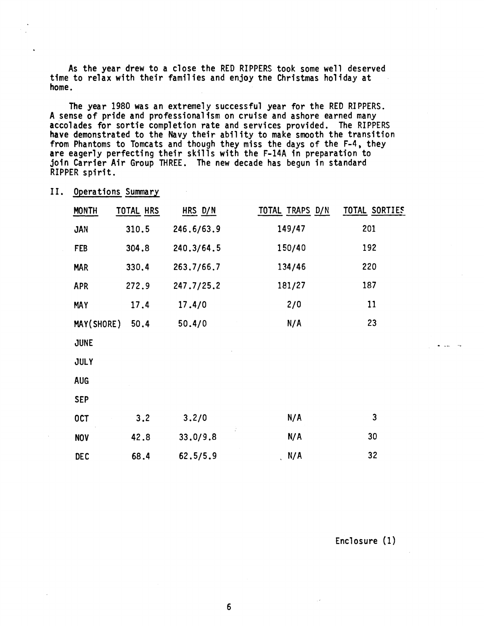As the year drew to a close the RED RIPPERS took some well deserved time to relax with their families and enjoy tne Christmas holiday at home.

The year 1980 was an extremely successful year for the RED RIPPERS. A sense of pride and professionalism on cruise and ashore earned many accolades for sortie completion rate and services provided. The RIPPERS have demonstrated to the Navy their ability to make smooth the transition from Phantoms to Tomcats and though they miss the days of the F-4, they are eagerly perfecting their skills with the F-14A in preparation to join Carrier Air Group THREE. The new decade has begun in standard RIPPER spirit.

| PER spirit.  |                    |            | m rnantoms to lomcats and tnough they miss the days of the r-4, they<br>eagerly perfecting their skills with the F-14A in preparation to<br>n Carrier Air Group THREE. The new decade has begun in standard |               |
|--------------|--------------------|------------|-------------------------------------------------------------------------------------------------------------------------------------------------------------------------------------------------------------|---------------|
|              | Operations Summary |            |                                                                                                                                                                                                             |               |
| <b>MONTH</b> | TOTAL HRS          | HRS D/N    | TOTAL TRAPS D/N                                                                                                                                                                                             | TOTAL SORTIES |
| <b>JAN</b>   | 310.5              | 246.6/63.9 | 149/47                                                                                                                                                                                                      | 201           |
| FEB          | 304.8              | 240.3/64.5 | 150/40                                                                                                                                                                                                      | 192           |
| <b>MAR</b>   | 330.4              | 263.7/66.7 | 134/46                                                                                                                                                                                                      | 220           |
| <b>APR</b>   | 272.9              | 247.7/25.2 | 181/27                                                                                                                                                                                                      | 187           |
| <b>MAY</b>   | 17.4               | 17.4/0     | 2/0                                                                                                                                                                                                         | 11            |
| MAY(SHORE)   | 50.4               | 50.4/0     | N/A                                                                                                                                                                                                         | 23            |
| <b>JUNE</b>  |                    |            |                                                                                                                                                                                                             |               |
| <b>JULY</b>  |                    |            |                                                                                                                                                                                                             |               |
| <b>AUG</b>   |                    |            |                                                                                                                                                                                                             |               |
| <b>SEP</b>   |                    |            |                                                                                                                                                                                                             |               |
| <b>OCT</b>   | 3.2                | 3.2/0      | N/A                                                                                                                                                                                                         | 3             |
| <b>NOV</b>   | 42.8               | 33.0/9.8   | N/A                                                                                                                                                                                                         | 30            |
| <b>DEC</b>   | 68.4               | 62.5/5.9   | N/A                                                                                                                                                                                                         | 32            |

II. Operations Summary

Enclosure (1)

 $\begin{array}{cccccccccc} \bullet & \bullet & \bullet & \bullet & \bullet & \bullet \end{array}$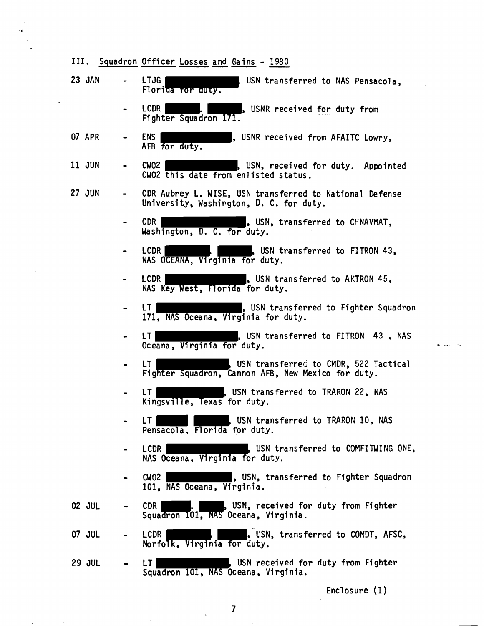|               | III. Squadron Officer Losses and Gains - 1980                                                      |
|---------------|----------------------------------------------------------------------------------------------------|
| 23 JAN        | <b>LTJG</b><br>USN transferred to NAS Pensacola,<br>Florida for duty.                              |
|               | LCDR  <br>, USNR received for duty from<br>Fighter Squadron 171.                                   |
| <b>07 APR</b> | <b>ENS</b><br>, USNR received from AFAITC Lowry,<br>AFB for duty.                                  |
| 11 JUN        | <b>CW02</b><br>, USN, received for duty. Appointed<br>CW02 this date from enlisted status.         |
| <b>27 JUN</b> | CDR Aubrey L. WISE, USN transferred to National Defense<br>University, Washington, D. C. for duty. |
|               | CDR<br>, USN, transferred to CHNAVMAT,<br>Washington, D. C. for duty.                              |
|               | LCDR  <br>, USN transferred to FITRON 43,<br>NAS OCEANA, Virginia for duty.                        |
|               | LCDR<br>, USN transferred to AKTRON 45,<br>NAS Key West, Florida for duty.                         |
|               | , USN transferred to Fighter Squadron<br>LT.<br>171, NAS Oceana, Virginia for duty.                |
|               | USN transferred to FITRON 43, NAS<br>LT<br>Oceana, Virginia for duty.                              |
|               | LT<br>USN transferred to CMDR, 522 Tactical<br>Fighter Squadron, Cannon AFB, New Mexico for duty.  |
|               | USN transferred to TRARON 22, NAS<br>LT.<br>Kingsville, Texas for duty.                            |
|               | USN transferred to TRARON 10, NAS<br>LT<br>Pensacola, Florida for duty.                            |
|               | LCDR<br>. USN transferred to COMFITWING ONE,<br>NAS Oceana, Virginia for duty.                     |
|               | C W 02<br>, USN, transferred to Fighter Squadron<br>101, NAS Oceana, Virginia.                     |
| <b>02 JUL</b> | <b>CDR</b><br>USN, received for duty from Fighter<br>Squadron 101, NAS Oceana, Virginia.           |
| 07 JUL        | LCDR<br>. USN, transferred to COMDT, AFSC,<br>Norfolk, Virginia for duty.                          |
| <b>29 JUL</b> | USN received for duty from Fighter<br>LT<br>Squadron 101, NAS Oceana, Virginia.                    |

Enclosure (1)

 $\sim$ 

.

 $\bar{\beta}$ 

 $\ddot{\phantom{a}}$ 

 $\mathcal{A}(\mathcal{A})$  and  $\mathcal{A}(\mathcal{A})$